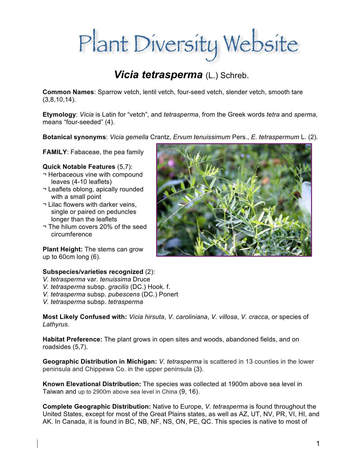# Plant Diversity Website

## *Vicia tetrasperma* (L.) Schreb.

**Common Names**: Sparrow vetch, lentil vetch, four-seed vetch, slender vetch, smooth tare (3,8,10,14).

**Etymology**: *Vicia* is Latin for "vetch", and *tetrasperma*, from the Greek words *tetra* and *sperma*, means "four-seeded" (4).

**Botanical synonyms**: *Vicia gemella* Crantz, *Ervum tenuissimum* Pers., *E. tetraspermum* L. (2).

**FAMILY**: Fabaceae, the pea family

#### **Quick Notable Features** (5,7):

- ¬ Herbaceous vine with compound leaves (4-10 leaflets)
- ¬ Leaflets oblong, apically rounded with a small point
- ¬ Lilac flowers with darker veins, single or paired on peduncles longer than the leaflets
- ¬ The hilum covers 20% of the seed circumference

**Plant Height:** The stems can grow up to 60cm long (6).

#### **Subspecies/varieties recognized** (2):

- *V. tetrasperma* var. *tenuissima* Druce
- *V. tetrasperma* subsp. *gracilis* (DC.) Hook. f.
- *V. tetrasperma* subsp. *pubescens* (DC.) Ponert
- *V. tetrasperma* subsp. *tetrasperma*

**Most Likely Confused with:** *Vicia hirsuta*, *V. caroliniana*, *V. villosa*, *V. cracca*, or species of *Lathyrus*.

**Habitat Preference:** The plant grows in open sites and woods, abandoned fields, and on roadsides (5,7).

**Geographic Distribution in Michigan:** *V. tetrasperma* is scattered in 13 counties in the lower peninsula and Chippewa Co. in the upper peninsula (3).

**Known Elevational Distribution:** The species was collected at 1900m above sea level in Taiwan and up to 2900m above sea level in China (9, 16).

**Complete Geographic Distribution:** Native to Europe, *V. tetrasperma* is found throughout the United States, except for most of the Great Plains states, as well as AZ, UT, NV, PR, VI, HI, and AK. In Canada, it is found in BC, NB, NF, NS, ON, PE, QC. This species is native to most of

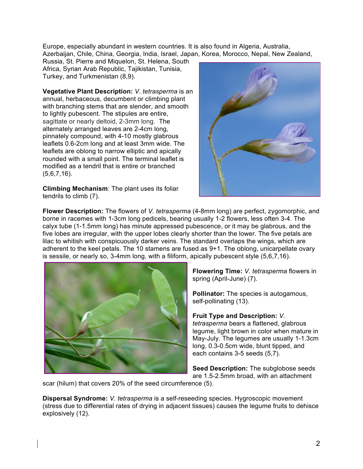Europe, especially abundant in western countries. It is also found in Algeria, Australia, Azerbaijan, Chile, China, Georgia, India, Israel, Japan, Korea, Morocco, Nepal, New Zealand,

Russia, St. Pierre and Miquelon, St. Helena, South Africa, Syrian Arab Republic, Tajikistan, Tunisia, Turkey, and Turkmenistan (8,9).

**Vegetative Plant Description:** *V. tetrasperma* is an annual, herbaceous, decumbent or climbing plant with branching stems that are slender, and smooth to lightly pubescent. The stipules are entire, sagittate or nearly deltoid, 2-3mm long. The alternately arranged leaves are 2-4cm long, pinnately compound, with 4-10 mostly glabrous leaflets 0.6-2cm long and at least 3mm wide. The leaflets are oblong to narrow elliptic and apically rounded with a small point. The terminal leaflet is modified as a tendril that is entire or branched (5,6,7,16).

**Climbing Mechanism**: The plant uses its foliar tendrils to climb (7).



**Flower Description:** The flowers of *V. tetrasperma* (4-8mm long) are perfect, zygomorphic, and borne in racemes with 1-3cm long pedicels, bearing usually 1-2 flowers, less often 3-4. The calyx tube (1-1.5mm long) has minute appressed pubescence, or it may be glabrous, and the five lobes are irregular, with the upper lobes clearly shorter than the lower. The five petals are lilac to whitish with conspicuously darker veins. The standard overlaps the wings, which are adherent to the keel petals. The 10 stamens are fused as 9+1. The oblong, unicarpellate ovary is sessile, or nearly so, 3-4mm long, with a filiform, apically pubescent style (5,6,7,16).



**Flowering Time:** *V. tetrasperma* flowers in spring (April-June) (7).

**Pollinator:** The species is autogamous, self-pollinating (13).

**Fruit Type and Description:** *V. tetrasperma* bears a flattened, glabrous legume, light brown in color when mature in May-July. The legumes are usually 1-1.3cm long, 0.3-0.5cm wide, blunt tipped, and each contains 3-5 seeds (5,7).

**Seed Description:** The subglobose seeds are 1.5-2.5mm broad, with an attachment

scar (hilum) that covers 20% of the seed circumference (5).

**Dispersal Syndrome:** *V. tetrasperma* is a self-reseeding species. Hygroscopic movement (stress due to differential rates of drying in adjacent tissues) causes the legume fruits to dehisce explosively (12).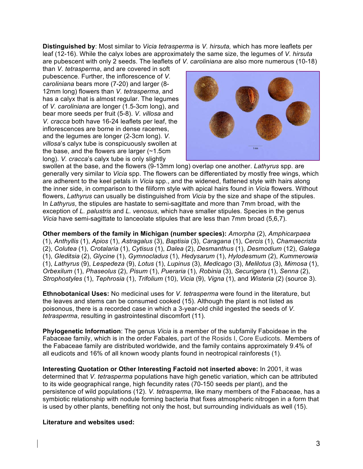**Distinguished by**: Most similar to *Vicia tetrasperma* is *V. hirsuta,* which has more leaflets per leaf (12-16). While the calyx lobes are approximately the same size, the legumes of *V. hirsuta* are pubescent with only 2 seeds. The leaflets of *V. caroliniana* are also more numerous (10-18)

than *V. tetrasperma*, and are covered in soft pubescence. Further, the inflorescence of *V. caroliniana* bears more (7-20) and larger (8- 12mm long) flowers than *V. tetrasperma*, and has a calyx that is almost regular. The legumes of *V. caroliniana* are longer (1.5-3cm long), and bear more seeds per fruit (5-8). *V. villosa* and *V. cracca* both have 16-24 leaflets per leaf, the inflorescences are borne in dense racemes, and the legumes are longer (2-3cm long). *V. villosa*'s calyx tube is conspicuously swollen at the base, and the flowers are larger (~1.5cm long). *V. cracca*'s calyx tube is only slightly



swollen at the base, and the flowers (9-13mm long) overlap one another. *Lathyrus* spp. are generally very similar to *Vicia* spp. The flowers can be differentiated by mostly free wings, which are adherent to the keel petals in *Vicia* spp., and the widened, flattened style with hairs along the inner side, in comparison to the filiform style with apical hairs found in *Vicia* flowers. Without flowers, *Lathyrus* can usually be distinguished from *Vicia* by the size and shape of the stipules. In *Lathyrus*, the stipules are hastate to semi-sagittate and more than 7mm broad, with the exception of *L. palustris* and *L. venosus*, which have smaller stipules. Species in the genus *Vicia* have semi-sagittate to lanceolate stipules that are less than 7mm broad (5,6,7).

**Other members of the family in Michigan (number species):** *Amorpha* (2), *Amphicarpaea* (1), *Anthyllis* (1), *Apios* (1), *Astragalus* (3), *Baptisia* (3), *Caragana* (1), *Cercis* (1), *Chamaecrista* (2), *Colutea* (1), *Crotalaria* (1), *Cytisus* (1), *Dalea* (2), *Desmanthus* (1), *Desmodium* (12), *Galega*  (1), *Gleditsia* (2), *Glycine* (1), *Gymnocladus* (1), *Hedysarum* (1), *Hylodesmum* (2), *Kummerowia* (1), *Lathyrus* (9), *Lespedeza* (9), *Lotus* (1), *Lupinus* (3), *Medicago* (3), *Melilotus* (3), *Mimosa* (1), *Orbexilum* (1), *Phaseolus* (2), *Pisum* (1), *Pueraria* (1), *Robinia* (3), *Securigera* (1), *Senna* (2), *Strophostyles* (1), *Tephrosia* (1), *Trifolium* (10), *Vicia* (9), *Vigna* (1), and *Wisteria* (2) (source 3).

**Ethnobotanical Uses:** No medicinal uses for *V. tetrasperma* were found in the literature, but the leaves and stems can be consumed cooked (15). Although the plant is not listed as poisonous, there is a recorded case in which a 3-year-old child ingested the seeds of *V. tetrasperma*, resulting in gastrointestinal discomfort (11).

**Phylogenetic Information**: The genus *Vicia* is a member of the subfamily Faboideae in the Fabaceae family, which is in the order Fabales, part of the Rosids I, Core Eudicots. Members of the Fabaceae family are distributed worldwide, and the family contains approximately 9.4% of all eudicots and 16% of all known woody plants found in neotropical rainforests (1).

**Interesting Quotation or Other Interesting Factoid not inserted above:** In 2001, it was determined that *V. tetrasperma* populations have high genetic variation, which can be attributed to its wide geographical range, high fecundity rates (70-150 seeds per plant), and the persistence of wild populations (12). *V. tetrasperma*, like many members of the Fabaceae, has a symbiotic relationship with nodule forming bacteria that fixes atmospheric nitrogen in a form that is used by other plants, benefiting not only the host, but surrounding individuals as well (15).

#### **Literature and websites used:**